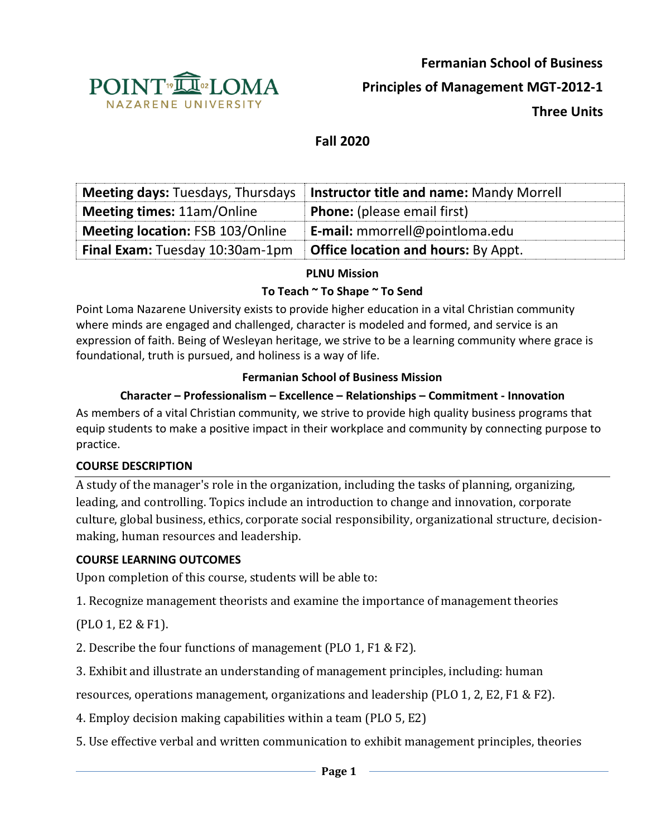

**Fermanian School of Business**

**Principles of Management MGT-2012-1**

**Three Units**

## **Fall 2020**

| <b>Meeting days: Tuesdays, Thursdays</b> | Instructor title and name: Mandy Morrell   |
|------------------------------------------|--------------------------------------------|
| <b>Meeting times: 11am/Online</b>        | <b>Phone:</b> (please email first)         |
| <b>Meeting location: FSB 103/Online</b>  | E-mail: mmorrell@pointloma.edu             |
| <b>Final Exam: Tuesday 10:30am-1pm</b>   | <b>Office location and hours: By Appt.</b> |

#### **PLNU Mission**

#### **To Teach ~ To Shape ~ To Send**

Point Loma Nazarene University exists to provide higher education in a vital Christian community where minds are engaged and challenged, character is modeled and formed, and service is an expression of faith. Being of Wesleyan heritage, we strive to be a learning community where grace is foundational, truth is pursued, and holiness is a way of life.

#### **Fermanian School of Business Mission**

## **Character – Professionalism – Excellence – Relationships – Commitment - Innovation**

As members of a vital Christian community, we strive to provide high quality business programs that equip students to make a positive impact in their workplace and community by connecting purpose to practice.

#### **COURSE DESCRIPTION**

A study of the manager's role in the organization, including the tasks of planning, organizing, leading, and controlling. Topics include an introduction to change and innovation, corporate culture, global business, ethics, corporate social responsibility, organizational structure, decisionmaking, human resources and leadership.

#### **COURSE LEARNING OUTCOMES**

Upon completion of this course, students will be able to:

1. Recognize management theorists and examine the importance of management theories

(PLO 1, E2 & F1).

2. Describe the four functions of management (PLO 1, F1 & F2).

3. Exhibit and illustrate an understanding of management principles, including: human

resources, operations management, organizations and leadership (PLO 1, 2, E2, F1 & F2).

4. Employ decision making capabilities within a team (PLO 5, E2)

5. Use effective verbal and written communication to exhibit management principles, theories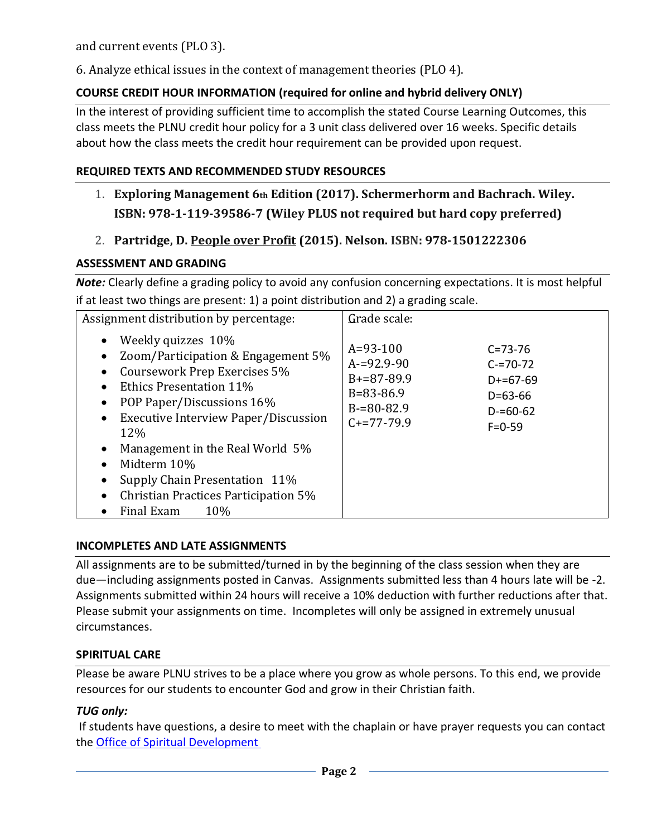and current events (PLO 3).

6. Analyze ethical issues in the context of management theories (PLO 4).

## **COURSE CREDIT HOUR INFORMATION (required for online and hybrid delivery ONLY)**

In the interest of providing sufficient time to accomplish the stated Course Learning Outcomes, this class meets the PLNU credit hour policy for a 3 unit class delivered over 16 weeks. Specific details about how the class meets the credit hour requirement can be provided upon request.

#### **REQUIRED TEXTS AND RECOMMENDED STUDY RESOURCES**

- 1. **Exploring Management 6th Edition (2017). Schermerhorm and Bachrach. Wiley. ISBN: 978-1-119-39586-7 (Wiley PLUS not required but hard copy preferred)**
- 2. **Partridge, D. People over Profit (2015). Nelson. ISBN: 978-1501222306**

## **ASSESSMENT AND GRADING**

*Note:* Clearly define a grading policy to avoid any confusion concerning expectations. It is most helpful if at least two things are present: 1) a point distribution and 2) a grading scale.

| Assignment distribution by percentage:                                                                                                                                                                                                                                                                                                                                                                                               | Grade scale:                                                                                                                                                                                              |
|--------------------------------------------------------------------------------------------------------------------------------------------------------------------------------------------------------------------------------------------------------------------------------------------------------------------------------------------------------------------------------------------------------------------------------------|-----------------------------------------------------------------------------------------------------------------------------------------------------------------------------------------------------------|
| Weekly quizzes 10%<br>$\bullet$<br>Zoom/Participation & Engagement 5%<br>Coursework Prep Exercises 5%<br><b>Ethics Presentation 11%</b><br>$\bullet$<br>POP Paper/Discussions 16%<br>$\bullet$<br>Executive Interview Paper/Discussion<br>$\bullet$<br>12%<br>Management in the Real World 5%<br>$\bullet$<br>Midterm 10%<br>$\bullet$<br>Supply Chain Presentation 11%<br>Christian Practices Participation 5%<br>Final Exam<br>10% | $A = 93 - 100$<br>$C = 73 - 76$<br>$A = 92.9 - 90$<br>$C = 70 - 72$<br>$B+=87-89.9$<br>$D+=67-69$<br>$B = 83 - 86.9$<br>$D = 63 - 66$<br>$B = 80 - 82.9$<br>$D = 60 - 62$<br>$C+=77-79.9$<br>$F = 0 - 59$ |

#### **INCOMPLETES AND LATE ASSIGNMENTS**

All assignments are to be submitted/turned in by the beginning of the class session when they are due—including assignments posted in Canvas. Assignments submitted less than 4 hours late will be -2. Assignments submitted within 24 hours will receive a 10% deduction with further reductions after that. Please submit your assignments on time. Incompletes will only be assigned in extremely unusual circumstances.

## **SPIRITUAL CARE**

Please be aware PLNU strives to be a place where you grow as whole persons. To this end, we provide resources for our students to encounter God and grow in their Christian faith.

## *TUG only:*

If students have questions, a desire to meet with the chaplain or have prayer requests you can contact the [Office of Spiritual Development](https://www.pointloma.edu/offices/spiritual-development)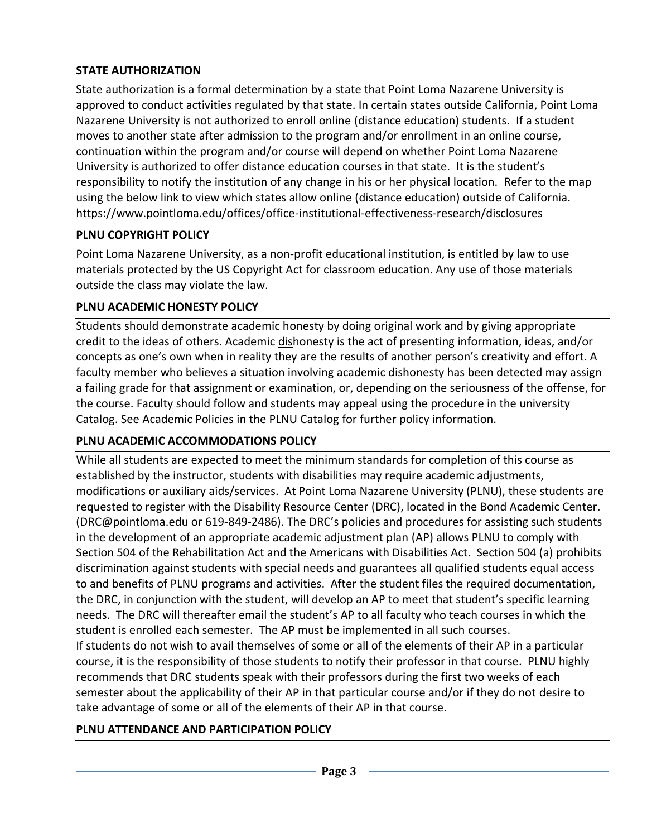## **STATE AUTHORIZATION**

State authorization is a formal determination by a state that Point Loma Nazarene University is approved to conduct activities regulated by that state. In certain states outside California, Point Loma Nazarene University is not authorized to enroll online (distance education) students. If a student moves to another state after admission to the program and/or enrollment in an online course, continuation within the program and/or course will depend on whether Point Loma Nazarene University is authorized to offer distance education courses in that state. It is the student's responsibility to notify the institution of any change in his or her physical location. Refer to the map using the below link to view which states allow online (distance education) outside of California. <https://www.pointloma.edu/offices/office-institutional-effectiveness-research/disclosures>

## **PLNU COPYRIGHT POLICY**

Point Loma Nazarene University, as a non-profit educational institution, is entitled by law to use materials protected by the US Copyright Act for classroom education. Any use of those materials outside the class may violate the law.

## **PLNU ACADEMIC HONESTY POLICY**

Students should demonstrate academic honesty by doing original work and by giving appropriate credit to the ideas of others. Academic dishonesty is the act of presenting information, ideas, and/or concepts as one's own when in reality they are the results of another person's creativity and effort. A faculty member who believes a situation involving academic dishonesty has been detected may assign a failing grade for that assignment or examination, or, depending on the seriousness of the offense, for the course. Faculty should follow and students may appeal using the procedure in the university Catalog. See Academic Policies in the PLNU Catalog for further policy information.

## **PLNU ACADEMIC ACCOMMODATIONS POLICY**

While all students are expected to meet the minimum standards for completion of this course as established by the instructor, students with disabilities may require academic adjustments, modifications or auxiliary aids/services. At Point Loma Nazarene University (PLNU), these students are requested to register with the Disability Resource Center (DRC), located in the Bond Academic Center. (DRC@pointloma.edu or 619-849-2486). The DRC's policies and procedures for assisting such students in the development of an appropriate academic adjustment plan (AP) allows PLNU to comply with Section 504 of the Rehabilitation Act and the Americans with Disabilities Act. Section 504 (a) prohibits discrimination against students with special needs and guarantees all qualified students equal access to and benefits of PLNU programs and activities. After the student files the required documentation, the DRC, in conjunction with the student, will develop an AP to meet that student's specific learning needs. The DRC will thereafter email the student's AP to all faculty who teach courses in which the student is enrolled each semester. The AP must be implemented in all such courses. If students do not wish to avail themselves of some or all of the elements of their AP in a particular course, it is the responsibility of those students to notify their professor in that course. PLNU highly

recommends that DRC students speak with their professors during the first two weeks of each semester about the applicability of their AP in that particular course and/or if they do not desire to take advantage of some or all of the elements of their AP in that course.

## **PLNU ATTENDANCE AND PARTICIPATION POLICY**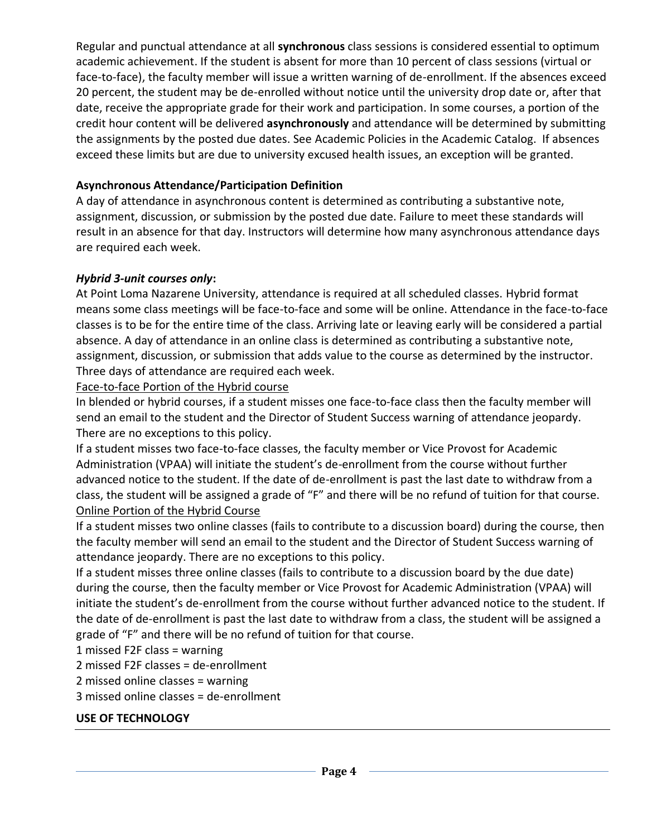Regular and punctual attendance at all **synchronous** class sessions is considered essential to optimum academic achievement. If the student is absent for more than 10 percent of class sessions (virtual or face-to-face), the faculty member will issue a written warning of de-enrollment. If the absences exceed 20 percent, the student may be de-enrolled without notice until the university drop date or, after that date, receive the appropriate grade for their work and participation. In some courses, a portion of the credit hour content will be delivered **asynchronously** and attendance will be determined by submitting the assignments by the posted due dates. See Academic Policies in the Academic Catalog. If absences exceed these limits but are due to university excused health issues, an exception will be granted.

## **Asynchronous Attendance/Participation Definition**

A day of attendance in asynchronous content is determined as contributing a substantive note, assignment, discussion, or submission by the posted due date. Failure to meet these standards will result in an absence for that day. Instructors will determine how many asynchronous attendance days are required each week.

#### *Hybrid 3-unit courses only***:**

At Point Loma Nazarene University, attendance is required at all scheduled classes. Hybrid format means some class meetings will be face-to-face and some will be online. Attendance in the face-to-face classes is to be for the entire time of the class. Arriving late or leaving early will be considered a partial absence. A day of attendance in an online class is determined as contributing a substantive note, assignment, discussion, or submission that adds value to the course as determined by the instructor. Three days of attendance are required each week.

Face-to-face Portion of the Hybrid course

In blended or hybrid courses, if a student misses one face-to-face class then the faculty member will send an email to the student and the Director of Student Success warning of attendance jeopardy. There are no exceptions to this policy.

If a student misses two face-to-face classes, the faculty member or Vice Provost for Academic Administration (VPAA) will initiate the student's de-enrollment from the course without further advanced notice to the student. If the date of de-enrollment is past the last date to withdraw from a class, the student will be assigned a grade of "F" and there will be no refund of tuition for that course. Online Portion of the Hybrid Course

If a student misses two online classes (fails to contribute to a discussion board) during the course, then the faculty member will send an email to the student and the Director of Student Success warning of attendance jeopardy. There are no exceptions to this policy.

If a student misses three online classes (fails to contribute to a discussion board by the due date) during the course, then the faculty member or Vice Provost for Academic Administration (VPAA) will initiate the student's de-enrollment from the course without further advanced notice to the student. If the date of de-enrollment is past the last date to withdraw from a class, the student will be assigned a grade of "F" and there will be no refund of tuition for that course.

1 missed F2F class = warning

2 missed F2F classes = de-enrollment

2 missed online classes = warning

3 missed online classes = de-enrollment

#### **USE OF TECHNOLOGY**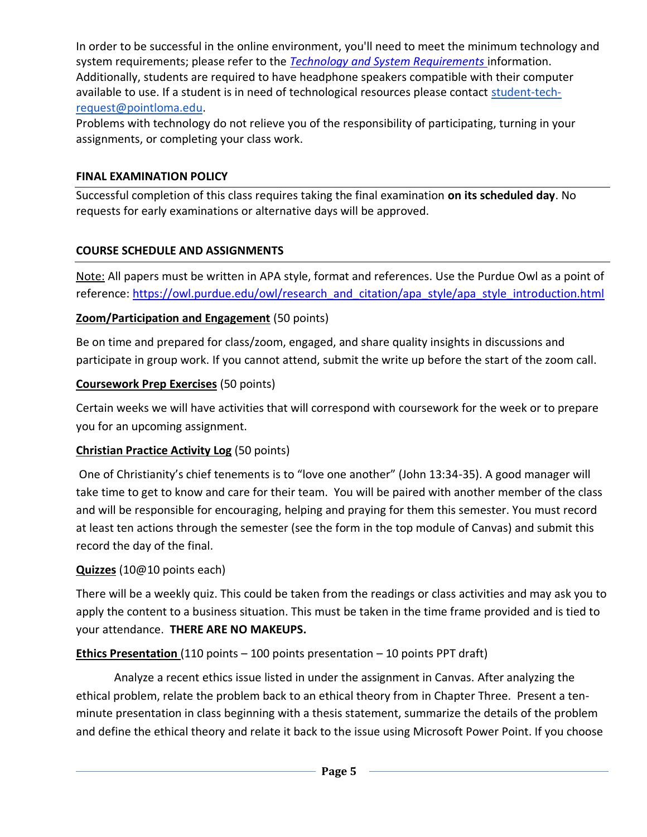In order to be successful in the online environment, you'll need to meet the minimum technology and system requirements; please refer to the *[Technology and System Requirements](https://help.pointloma.edu/TDClient/1808/Portal/KB/ArticleDet?ID=108349)* information. Additionally, students are required to have headphone speakers compatible with their computer available to use. If a student is in need of technological resources please contact [student-tech](mailto:student-tech-request@pointloma.edu)[request@pointloma.edu.](mailto:student-tech-request@pointloma.edu)

Problems with technology do not relieve you of the responsibility of participating, turning in your assignments, or completing your class work.

## **FINAL EXAMINATION POLICY**

Successful completion of this class requires taking the final examination **on its scheduled day**. No requests for early examinations or alternative days will be approved.

#### **COURSE SCHEDULE AND ASSIGNMENTS**

Note: All papers must be written in APA style, format and references. Use the Purdue Owl as a point of reference: [https://owl.purdue.edu/owl/research\\_and\\_citation/apa\\_style/apa\\_style\\_introduction.html](https://owl.purdue.edu/owl/research_and_citation/apa_style/apa_style_introduction.html)

#### **Zoom/Participation and Engagement** (50 points)

Be on time and prepared for class/zoom, engaged, and share quality insights in discussions and participate in group work. If you cannot attend, submit the write up before the start of the zoom call.

#### **Coursework Prep Exercises** (50 points)

Certain weeks we will have activities that will correspond with coursework for the week or to prepare you for an upcoming assignment.

## **Christian Practice Activity Log** (50 points)

One of Christianity's chief tenements is to "love one another" (John 13:34-35). A good manager will take time to get to know and care for their team. You will be paired with another member of the class and will be responsible for encouraging, helping and praying for them this semester. You must record at least ten actions through the semester (see the form in the top module of Canvas) and submit this record the day of the final.

## **Quizzes** (10@10 points each)

There will be a weekly quiz. This could be taken from the readings or class activities and may ask you to apply the content to a business situation. This must be taken in the time frame provided and is tied to your attendance. **THERE ARE NO MAKEUPS.**

## **Ethics Presentation** (110 points – 100 points presentation – 10 points PPT draft)

Analyze a recent ethics issue listed in under the assignment in Canvas. After analyzing the ethical problem, relate the problem back to an ethical theory from in Chapter Three. Present a tenminute presentation in class beginning with a thesis statement, summarize the details of the problem and define the ethical theory and relate it back to the issue using Microsoft Power Point. If you choose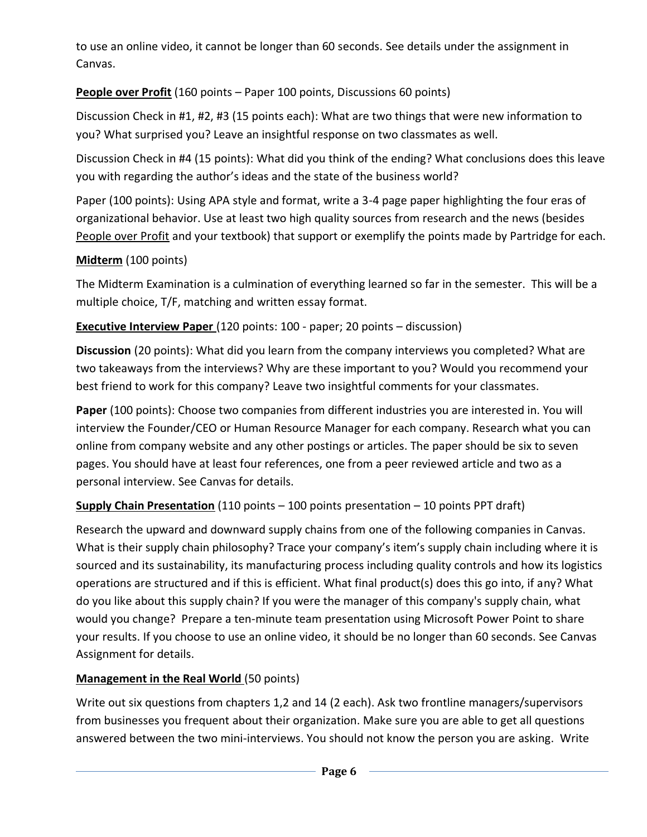to use an online video, it cannot be longer than 60 seconds. See details under the assignment in Canvas.

**People over Profit** (160 points – Paper 100 points, Discussions 60 points)

Discussion Check in #1, #2, #3 (15 points each): What are two things that were new information to you? What surprised you? Leave an insightful response on two classmates as well.

Discussion Check in #4 (15 points): What did you think of the ending? What conclusions does this leave you with regarding the author's ideas and the state of the business world?

Paper (100 points): Using APA style and format, write a 3-4 page paper highlighting the four eras of organizational behavior. Use at least two high quality sources from research and the news (besides People over Profit and your textbook) that support or exemplify the points made by Partridge for each.

## **Midterm** (100 points)

The Midterm Examination is a culmination of everything learned so far in the semester. This will be a multiple choice, T/F, matching and written essay format.

# **Executive Interview Paper** (120 points: 100 - paper; 20 points – discussion)

**Discussion** (20 points): What did you learn from the company interviews you completed? What are two takeaways from the interviews? Why are these important to you? Would you recommend your best friend to work for this company? Leave two insightful comments for your classmates.

**Paper** (100 points): Choose two companies from different industries you are interested in. You will interview the Founder/CEO or Human Resource Manager for each company. Research what you can online from company website and any other postings or articles. The paper should be six to seven pages. You should have at least four references, one from a peer reviewed article and two as a personal interview. See Canvas for details.

**Supply Chain Presentation** (110 points – 100 points presentation – 10 points PPT draft)

Research the upward and downward supply chains from one of the following companies in Canvas. What is their supply chain philosophy? Trace your company's item's supply chain including where it is sourced and its sustainability, its manufacturing process including quality controls and how its logistics operations are structured and if this is efficient. What final product(s) does this go into, if any? What do you like about this supply chain? If you were the manager of this company's supply chain, what would you change? Prepare a ten-minute team presentation using Microsoft Power Point to share your results. If you choose to use an online video, it should be no longer than 60 seconds. See Canvas Assignment for details.

# **Management in the Real World** (50 points)

Write out six questions from chapters 1,2 and 14 (2 each). Ask two frontline managers/supervisors from businesses you frequent about their organization. Make sure you are able to get all questions answered between the two mini-interviews. You should not know the person you are asking. Write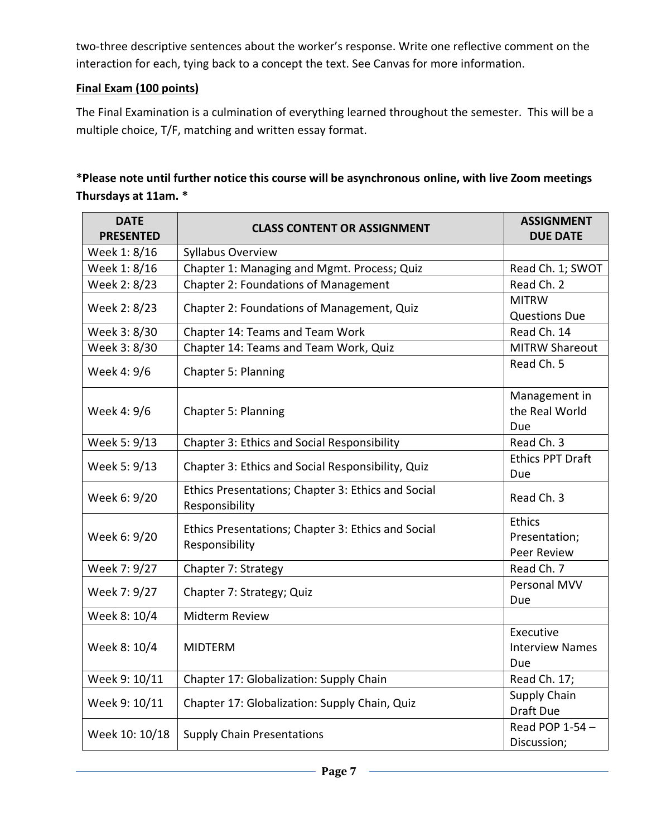two-three descriptive sentences about the worker's response. Write one reflective comment on the interaction for each, tying back to a concept the text. See Canvas for more information.

## **Final Exam (100 points)**

The Final Examination is a culmination of everything learned throughout the semester. This will be a multiple choice, T/F, matching and written essay format.

## **\*Please note until further notice this course will be asynchronous online, with live Zoom meetings Thursdays at 11am. \***

| <b>DATE</b><br><b>PRESENTED</b> | <b>CLASS CONTENT OR ASSIGNMENT</b>                                   | <b>ASSIGNMENT</b><br><b>DUE DATE</b>          |
|---------------------------------|----------------------------------------------------------------------|-----------------------------------------------|
| Week 1: 8/16                    | Syllabus Overview                                                    |                                               |
| Week 1: 8/16                    | Chapter 1: Managing and Mgmt. Process; Quiz                          | Read Ch. 1; SWOT                              |
| Week 2: 8/23                    | Chapter 2: Foundations of Management                                 | Read Ch. 2                                    |
| Week 2: 8/23                    | Chapter 2: Foundations of Management, Quiz                           | <b>MITRW</b><br><b>Questions Due</b>          |
| Week 3: 8/30                    | Chapter 14: Teams and Team Work                                      | Read Ch. 14                                   |
| Week 3: 8/30                    | Chapter 14: Teams and Team Work, Quiz                                | <b>MITRW Shareout</b>                         |
| Week 4: 9/6                     | Chapter 5: Planning                                                  | Read Ch. 5                                    |
| Week 4: 9/6                     | Chapter 5: Planning                                                  | Management in<br>the Real World<br>Due        |
| Week 5: 9/13                    | Chapter 3: Ethics and Social Responsibility                          | Read Ch. 3                                    |
| Week 5: 9/13                    | Chapter 3: Ethics and Social Responsibility, Quiz                    | <b>Ethics PPT Draft</b><br>Due                |
| Week 6: 9/20                    | Ethics Presentations; Chapter 3: Ethics and Social<br>Responsibility | Read Ch. 3                                    |
| Week 6: 9/20                    | Ethics Presentations; Chapter 3: Ethics and Social<br>Responsibility | <b>Ethics</b><br>Presentation;<br>Peer Review |
| Week 7: 9/27                    | Chapter 7: Strategy                                                  | Read Ch. 7                                    |
| Week 7: 9/27                    | Chapter 7: Strategy; Quiz                                            | Personal MVV<br>Due                           |
| Week 8: 10/4                    | Midterm Review                                                       |                                               |
| Week 8: 10/4                    | <b>MIDTERM</b>                                                       | Executive<br><b>Interview Names</b><br>Due    |
| Week 9: 10/11                   | Chapter 17: Globalization: Supply Chain                              | Read Ch. 17;                                  |
| Week 9: 10/11                   | Chapter 17: Globalization: Supply Chain, Quiz                        | Supply Chain<br><b>Draft Due</b>              |
| Week 10: 10/18                  | <b>Supply Chain Presentations</b>                                    | Read POP 1-54 -<br>Discussion;                |